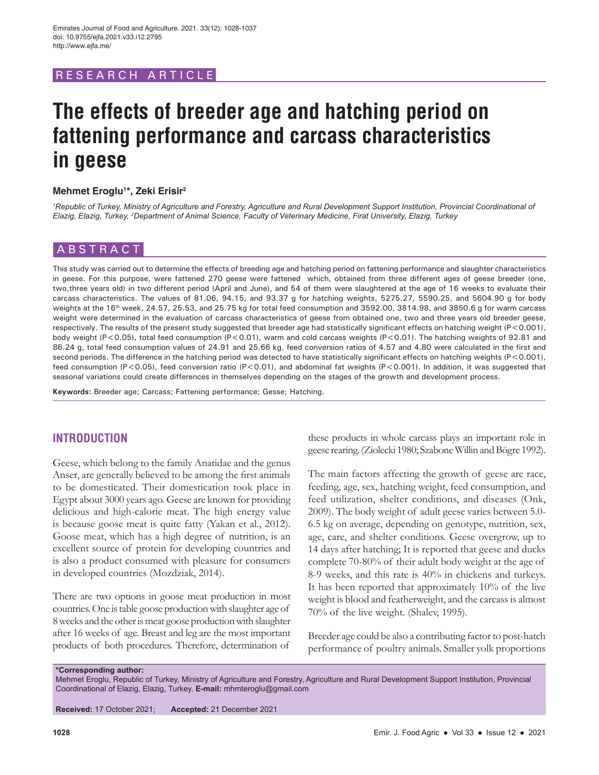# RESEARCH ARTICL

# **The effects of breeder age and hatching period on fattening performance and carcass characteristics in geese**

## **Mehmet Eroglu1 \*, Zeki Erisir2**

<sup>1</sup> Republic of Turkey, Ministry of Agriculture and Forestry, Agriculture and Rural Development Support Institution, Provincial Coordinational of *Elazig, Elazig, Turkey, 2 Department of Animal Science, Faculty of Veterinary Medicine, Firat University, Elazig, Turkey*

## ABSTRACT

This study was carried out to determine the effects of breeding age and hatching period on fattening performance and slaughter characteristics in geese. For this purpose, were fattened 270 geese were fattened which, obtained from three different ages of geese breeder (one, two,three years old) in two different period (April and June), and 54 of them were slaughtered at the age of 16 weeks to evaluate their carcass characteristics. The values of 81.06, 94.15, and 93.37 g for hatching weights, 5275.27, 5590.25, and 5604.90 g for body weights at the 16<sup>th</sup> week, 24.57, 25.53, and 25.75 kg for total feed consumption and 3592.00, 3814.98, and 3850.6 g for warm carcass weight were determined in the evaluation of carcass characteristics of geese from obtained one, two and three years old breeder geese, respectively. The results of the present study suggested that breeder age had statistically significant effects on hatching weight (P<0.001), body weight (P<0.05), total feed consumption (P<0.01), warm and cold carcass weights (P<0.01). The hatching weights of 92.81 and 86.24 g, total feed consumption values of 24.91 and 25.66 kg, feed conversion ratios of 4.57 and 4.80 were calculated in the first and second periods. The difference in the hatching period was detected to have statistically significant effects on hatching weights (P<0.001), feed consumption (P<0.05), feed conversion ratio (P<0.01), and abdominal fat weights (P<0.001). In addition, it was suggested that seasonal variations could create differences in themselves depending on the stages of the growth and development process.

**Keywords:** Breeder age; Carcass; Fattening performance; Gesse; Hatching.

# **INTRODUCTION**

Geese, which belong to the family Anatidae and the genus Anser, are generally believed to be among the first animals to be domesticated. Their domestication took place in Egypt about 3000 years ago. Geese are known for providing delicious and high-calorie meat. The high energy value is because goose meat is quite fatty (Yakan et al., 2012). Goose meat, which has a high degree of nutrition, is an excellent source of protein for developing countries and is also a product consumed with pleasure for consumers in developed countries (Mozdziak, 2014).

There are two options in goose meat production in most countries. One is table goose production with slaughter age of 8weeks and the other is meat goose production with slaughter after 16 weeks of age. Breast and leg are the most important products of both procedures. Therefore, determination of these products in whole carcass plays an important role in geese rearing. (Ziolecki 1980; Szabone Willin and Bögre 1992).

The main factors affecting the growth of geese are race, feeding, age, sex, hatching weight, feed consumption, and feed utilization, shelter conditions, and diseases (Onk, 2009). The body weight of adult geese varies between 5.0- 6.5 kg on average, depending on genotype, nutrition, sex, age, care, and shelter conditions. Geese overgrow, up to 14 days after hatching; It is reported that geese and ducks complete 70-80% of their adult body weight at the age of 8-9 weeks, and this rate is 40% in chickens and turkeys. It has been reported that approximately 10% of the live weight is blood and featherweight, and the carcass is almost 70% of the live weight. (Shalev, 1995).

Breeder age could be also a contributing factor to post-hatch performance of poultry animals. Smaller yolk proportions

#### **\*Corresponding author:**

Mehmet Eroglu, Republic of Turkey, Ministry of Agriculture and Forestry, Agriculture and Rural Development Support Institution, Provincial Coordinational of Elazig, Elazig, Turkey. **E-mail:** mhmteroglu@gmail.com

**Received:** 17 October 2021; **Accepted:** 21 December 2021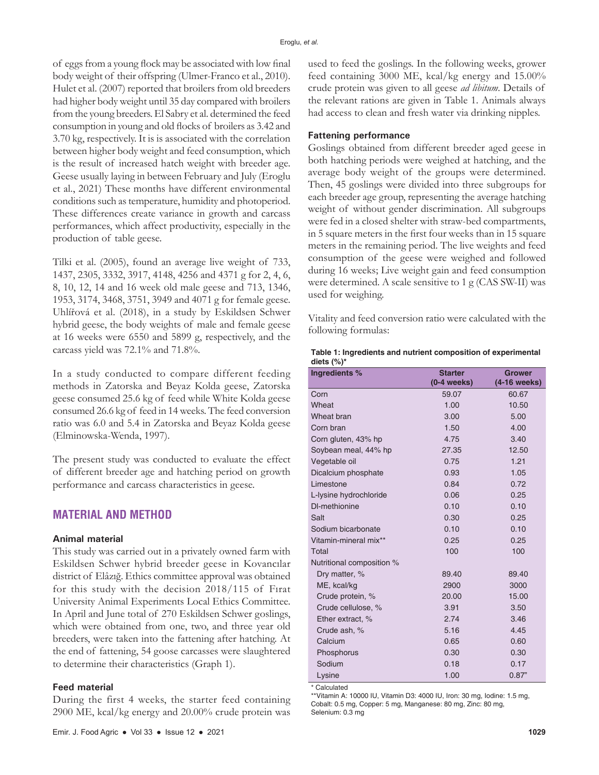of eggs from a young flock may be associated with low final body weight of their offspring (Ulmer-Franco et al., 2010). Hulet et al. (2007) reported that broilers from old breeders had higher body weight until 35 day compared with broilers from the young breeders. El Sabry et al. determined the feed consumption in young and old flocks of broilers as 3.42 and 3.70 kg, respectively. It is is associated with the correlation between higher body weight and feed consumption, which is the result of increased hatch weight with breeder age. Geese usually laying in between February and July (Eroglu et al., 2021) These months have different environmental conditions such as temperature, humidity and photoperiod. These differences create variance in growth and carcass performances, which affect productivity, especially in the production of table geese.

Tilki et al. (2005), found an average live weight of 733, 1437, 2305, 3332, 3917, 4148, 4256 and 4371 g for 2, 4, 6, 8, 10, 12, 14 and 16 week old male geese and 713, 1346, 1953, 3174, 3468, 3751, 3949 and 4071 g for female geese. Uhlířová et al. (2018), in a study by Eskildsen Schwer hybrid geese, the body weights of male and female geese at 16 weeks were 6550 and 5899 g, respectively, and the carcass yield was 72.1% and 71.8%.

In a study conducted to compare different feeding methods in Zatorska and Beyaz Kolda geese, Zatorska geese consumed 25.6 kg of feed while White Kolda geese consumed 26.6 kg of feed in 14 weeks. The feed conversion ratio was 6.0 and 5.4 in Zatorska and Beyaz Kolda geese (Elminowska-Wenda, 1997).

The present study was conducted to evaluate the effect of different breeder age and hatching period on growth performance and carcass characteristics in geese.

## **MATERIAL AND METHOD**

## **Animal material**

This study was carried out in a privately owned farm with Eskildsen Schwer hybrid breeder geese in Kovancılar district of Elâzığ. Ethics committee approval was obtained for this study with the decision 2018/115 of Fırat University Animal Experiments Local Ethics Committee. In April and June total of 270 Eskildsen Schwer goslings, which were obtained from one, two, and three year old breeders, were taken into the fattening after hatching. At the end of fattening, 54 goose carcasses were slaughtered to determine their characteristics (Graph 1).

#### **Feed material**

During the first 4 weeks, the starter feed containing 2900 ME, kcal/kg energy and 20.00% crude protein was used to feed the goslings. In the following weeks, grower feed containing 3000 ME, kcal/kg energy and 15.00% crude protein was given to all geese *ad libitum*. Details of the relevant rations are given in Table 1. Animals always had access to clean and fresh water via drinking nipples.

## **Fattening performance**

Goslings obtained from different breeder aged geese in both hatching periods were weighed at hatching, and the average body weight of the groups were determined. Then, 45 goslings were divided into three subgroups for each breeder age group, representing the average hatching weight of without gender discrimination. All subgroups were fed in a closed shelter with straw-bed compartments, in 5 square meters in the first four weeks than in 15 square meters in the remaining period. The live weights and feed consumption of the geese were weighed and followed during 16 weeks; Live weight gain and feed consumption were determined. A scale sensitive to 1 g (CAS SW-II) was used for weighing.

Vitality and feed conversion ratio were calculated with the following formulas:

| Table 1: Ingredients and nutrient composition of experimental |
|---------------------------------------------------------------|
| diets $(\%)^*$                                                |

| Ingredients %             | <b>Starter</b> | Grower       |
|---------------------------|----------------|--------------|
|                           | $(0-4$ weeks)  | (4-16 weeks) |
| Corn                      | 59.07          | 60.67        |
| Wheat                     | 1.00           | 10.50        |
| Wheat bran                | 3.00           | 5.00         |
| Corn bran                 | 1.50           | 4.00         |
| Corn gluten, 43% hp       | 4.75           | 3.40         |
| Soybean meal, 44% hp      | 27.35          | 12.50        |
| Vegetable oil             | 0.75           | 1.21         |
| Dicalcium phosphate       | 0.93           | 1.05         |
| Limestone                 | 0.84           | 0.72         |
| L-lysine hydrochloride    | 0.06           | 0.25         |
| DI-methionine             | 0.10           | 0.10         |
| Salt                      | 0.30           | 0.25         |
| Sodium bicarbonate        | 0.10           | 0.10         |
| Vitamin-mineral mix**     | 0.25           | 0.25         |
| Total                     | 100            | 100          |
| Nutritional composition % |                |              |
| Dry matter, %             | 89.40          | 89.40        |
| ME, kcal/kg               | 2900           | 3000         |
| Crude protein, %          | 20.00          | 15.00        |
| Crude cellulose, %        | 3.91           | 3.50         |
| Ether extract, %          | 2.74           | 3.46         |
| Crude ash, %              | 5.16           | 4.45         |
| Calcium                   | 0.65           | 0.60         |
| Phosphorus                | 0.30           | 0.30         |
| Sodium                    | 0.18           | 0.17         |
| Lysine                    | 1.00           | 0.87"        |

\* Calculated

\*\*Vitamin A: 10000 IU, Vitamin D3: 4000 IU, Iron: 30 mg, Iodine: 1.5 mg, Cobalt: 0.5 mg, Copper: 5 mg, Manganese: 80 mg, Zinc: 80 mg, Selenium: 0.3 mg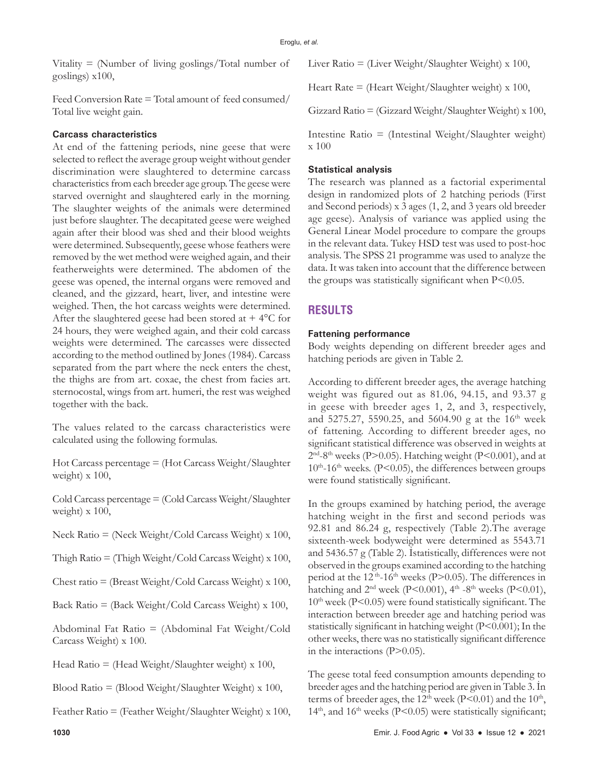Vitality  $=$  (Number of living goslings/Total number of goslings) x100,

Feed Conversion Rate = Total amount of feed consumed/ Total live weight gain.

# **Carcass characteristics**

At end of the fattening periods, nine geese that were selected to reflect the average group weight without gender discrimination were slaughtered to determine carcass characteristics from each breeder age group. The geese were starved overnight and slaughtered early in the morning. The slaughter weights of the animals were determined just before slaughter. The decapitated geese were weighed again after their blood was shed and their blood weights were determined. Subsequently, geese whose feathers were removed by the wet method were weighed again, and their featherweights were determined. The abdomen of the geese was opened, the internal organs were removed and cleaned, and the gizzard, heart, liver, and intestine were weighed. Then, the hot carcass weights were determined. After the slaughtered geese had been stored at  $+4$ °C for 24 hours, they were weighed again, and their cold carcass weights were determined. The carcasses were dissected according to the method outlined by Jones (1984). Carcass separated from the part where the neck enters the chest, the thighs are from art. coxae, the chest from facies art. sternocostal, wings from art. humeri, the rest was weighed together with the back.

The values related to the carcass characteristics were calculated using the following formulas.

Hot Carcass percentage = (Hot Carcass Weight/Slaughter weight) x 100,

Cold Carcass percentage = (Cold Carcass Weight/Slaughter weight) x 100,

Neck Ratio = (Neck Weight/Cold Carcass Weight) x 100,

Thigh Ratio  $=$  (Thigh Weight/Cold Carcass Weight) x 100,

Chest ratio = (Breast Weight/Cold Carcass Weight) x 100,

Back Ratio = (Back Weight/Cold Carcass Weight) x 100,

Abdominal Fat Ratio = (Abdominal Fat Weight/Cold Carcass Weight) x 100.

Head Ratio = (Head Weight/Slaughter weight) x 100,

Blood Ratio = (Blood Weight/Slaughter Weight) x 100,

Feather Ratio = (Feather Weight/Slaughter Weight) x 100,

Liver Ratio = (Liver Weight/Slaughter Weight) x 100,

Heart Rate  $=$  (Heart Weight/Slaughter weight) x 100,

Gizzard Ratio = (Gizzard Weight/Slaughter Weight) x 100,

Intestine Ratio = (Intestinal Weight/Slaughter weight) x 100

# **Statistical analysis**

The research was planned as a factorial experimental design in randomized plots of 2 hatching periods (First and Second periods) x 3 ages (1, 2, and 3 years old breeder age geese). Analysis of variance was applied using the General Linear Model procedure to compare the groups in the relevant data. Tukey HSD test was used to post-hoc analysis. The SPSS 21 programme was used to analyze the data. It was taken into account that the difference between the groups was statistically significant when P<0.05.

# **RESULTS**

## **Fattening performance**

Body weights depending on different breeder ages and hatching periods are given in Table 2.

According to different breeder ages, the average hatching weight was figured out as 81.06, 94.15, and 93.37 g in geese with breeder ages 1, 2, and 3, respectively, and 5275.27, 5590.25, and 5604.90 g at the 16<sup>th</sup> week of fattening. According to different breeder ages, no significant statistical difference was observed in weights at  $2<sup>nd</sup>-8<sup>th</sup>$  weeks (P>0.05). Hatching weight (P<0.001), and at  $10^{th}$ -16<sup>th</sup> weeks. (P<0.05), the differences between groups were found statistically significant.

In the groups examined by hatching period, the average hatching weight in the first and second periods was 92.81 and 86.24 g, respectively (Table 2).The average sixteenth-week bodyweight were determined as 5543.71 and 5436.57 g (Table 2). İstatistically, differences were not observed in the groups examined according to the hatching period at the 12 th-16th weeks (P>0.05). The differences in hatching and  $2<sup>nd</sup>$  week (P<0.001),  $4<sup>th</sup>$  -8<sup>th</sup> weeks (P<0.01),  $10<sup>th</sup>$  week (P<0.05) were found statistically significant. The interaction between breeder age and hatching period was statistically significant in hatching weight (P<0.001); In the other weeks, there was no statistically significant difference in the interactions (P>0.05).

The geese total feed consumption amounts depending to breeder ages and the hatching period are given in Table 3. İn terms of breeder ages, the  $12<sup>th</sup>$  week (P<0.01) and the  $10<sup>th</sup>$ ,  $14<sup>th</sup>$ , and  $16<sup>th</sup>$  weeks (P<0.05) were statistically significant;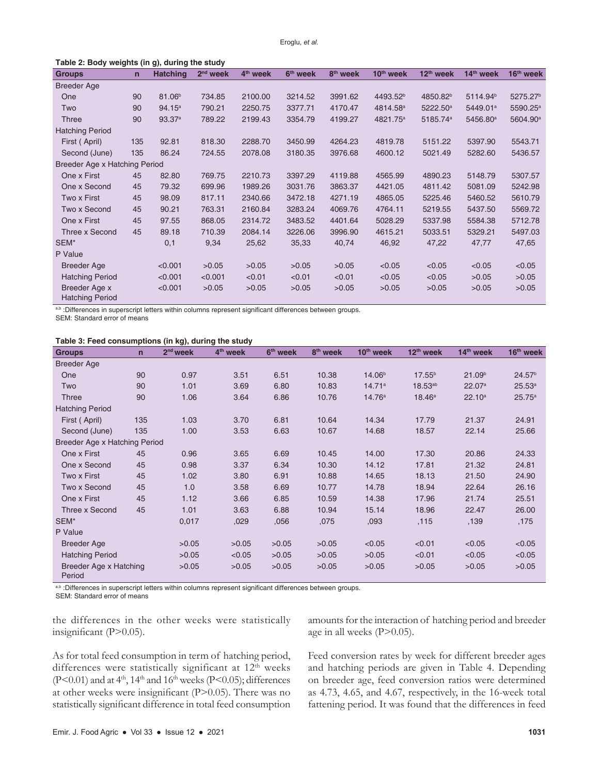| Table 2: Body weights (in g), during the study |     |                    |            |                      |                      |                      |                       |                       |                       |                       |  |  |
|------------------------------------------------|-----|--------------------|------------|----------------------|----------------------|----------------------|-----------------------|-----------------------|-----------------------|-----------------------|--|--|
| <b>Groups</b>                                  | n   | <b>Hatching</b>    | $2nd$ week | 4 <sup>th</sup> week | 6 <sup>th</sup> week | 8 <sup>th</sup> week | 10 <sup>th</sup> week | 12 <sup>th</sup> week | 14 <sup>th</sup> week | 16 <sup>th</sup> week |  |  |
| <b>Breeder Age</b>                             |     |                    |            |                      |                      |                      |                       |                       |                       |                       |  |  |
| One                                            | 90  | 81.06 <sup>b</sup> | 734.85     | 2100.00              | 3214.52              | 3991.62              | 4493.52 <sup>b</sup>  | 4850.82 <sup>b</sup>  | 5114.94 <sup>b</sup>  | 5275.27 <sup>b</sup>  |  |  |
| Two                                            | 90  | 94.15a             | 790.21     | 2250.75              | 3377.71              | 4170.47              | 4814.58 <sup>a</sup>  | 5222.50 <sup>a</sup>  | 5449.01 <sup>a</sup>  | 5590.25 <sup>a</sup>  |  |  |
| <b>Three</b>                                   | 90  | 93.37a             | 789.22     | 2199.43              | 3354.79              | 4199.27              | 4821.75 <sup>a</sup>  | 5185.74 <sup>a</sup>  | 5456.80 <sup>a</sup>  | 5604.90 <sup>a</sup>  |  |  |
| <b>Hatching Period</b>                         |     |                    |            |                      |                      |                      |                       |                       |                       |                       |  |  |
| First (April)                                  | 135 | 92.81              | 818.30     | 2288.70              | 3450.99              | 4264.23              | 4819.78               | 5151.22               | 5397.90               | 5543.71               |  |  |
| Second (June)                                  | 135 | 86.24              | 724.55     | 2078.08              | 3180.35              | 3976.68              | 4600.12               | 5021.49               | 5282.60               | 5436.57               |  |  |
| Breeder Age x Hatching Period                  |     |                    |            |                      |                      |                      |                       |                       |                       |                       |  |  |
| One x First                                    | 45  | 82.80              | 769.75     | 2210.73              | 3397.29              | 4119.88              | 4565.99               | 4890.23               | 5148.79               | 5307.57               |  |  |
| One x Second                                   | 45  | 79.32              | 699.96     | 1989.26              | 3031.76              | 3863.37              | 4421.05               | 4811.42               | 5081.09               | 5242.98               |  |  |
| Two x First                                    | 45  | 98.09              | 817.11     | 2340.66              | 3472.18              | 4271.19              | 4865.05               | 5225.46               | 5460.52               | 5610.79               |  |  |
| Two x Second                                   | 45  | 90.21              | 763.31     | 2160.84              | 3283.24              | 4069.76              | 4764.11               | 5219.55               | 5437.50               | 5569.72               |  |  |
| One x First                                    | 45  | 97.55              | 868.05     | 2314.72              | 3483.52              | 4401.64              | 5028.29               | 5337.98               | 5584.38               | 5712.78               |  |  |
| Three x Second                                 | 45  | 89.18              | 710.39     | 2084.14              | 3226.06              | 3996.90              | 4615.21               | 5033.51               | 5329.21               | 5497.03               |  |  |
| SEM*                                           |     | 0,1                | 9,34       | 25,62                | 35,33                | 40,74                | 46,92                 | 47,22                 | 47,77                 | 47,65                 |  |  |
| P Value                                        |     |                    |            |                      |                      |                      |                       |                       |                       |                       |  |  |
| <b>Breeder Age</b>                             |     | < 0.001            | >0.05      | >0.05                | >0.05                | >0.05                | < 0.05                | < 0.05                | < 0.05                | < 0.05                |  |  |
| <b>Hatching Period</b>                         |     | < 0.001            | < 0.001    | < 0.01               | < 0.01               | < 0.01               | < 0.05                | < 0.05                | >0.05                 | >0.05                 |  |  |
| Breeder Age x<br><b>Hatching Period</b>        |     | < 0.001            | >0.05      | >0.05                | >0.05                | >0.05                | >0.05                 | >0.05                 | >0.05                 | >0.05                 |  |  |

a,b :Differences in superscript letters within columns represent significant differences between groups.

SEM: Standard error of means

#### **Table 3: Feed consumptions (in kg), during the study**

| <b>Groups</b>                    | $\mathsf{n}$ | $2nd$ week | 4 <sup>th</sup> week | 6 <sup>th</sup> week | 8 <sup>th</sup> week | 10 <sup>th</sup> week | 12 <sup>th</sup> week | 14 <sup>th</sup> week | 16 <sup>th</sup> week |
|----------------------------------|--------------|------------|----------------------|----------------------|----------------------|-----------------------|-----------------------|-----------------------|-----------------------|
| <b>Breeder Age</b>               |              |            |                      |                      |                      |                       |                       |                       |                       |
| One                              | 90           | 0.97       | 3.51                 | 6.51                 | 10.38                | 14.06 <sup>b</sup>    | $17.55^{b}$           | 21.09 <sup>b</sup>    | 24.57 <sup>b</sup>    |
| Two                              | 90           | 1.01       | 3.69                 | 6.80                 | 10.83                | 14.71a                | $18.53^{ab}$          | 22.07a                | 25.53a                |
| Three                            | 90           | 1.06       | 3.64                 | 6.86                 | 10.76                | 14.76a                | $18.46^{\text{a}}$    | 22.10a                | 25.75a                |
| <b>Hatching Period</b>           |              |            |                      |                      |                      |                       |                       |                       |                       |
| First (April)                    | 135          | 1.03       | 3.70                 | 6.81                 | 10.64                | 14.34                 | 17.79                 | 21.37                 | 24.91                 |
| Second (June)                    | 135          | 1.00       | 3.53                 | 6.63                 | 10.67                | 14.68                 | 18.57                 | 22.14                 | 25.66                 |
| Breeder Age x Hatching Period    |              |            |                      |                      |                      |                       |                       |                       |                       |
| One x First                      | 45           | 0.96       | 3.65                 | 6.69                 | 10.45                | 14.00                 | 17.30                 | 20.86                 | 24.33                 |
| One x Second                     | 45           | 0.98       | 3.37                 | 6.34                 | 10.30                | 14.12                 | 17.81                 | 21.32                 | 24.81                 |
| Two x First                      | 45           | 1.02       | 3.80                 | 6.91                 | 10.88                | 14.65                 | 18.13                 | 21.50                 | 24.90                 |
| Two x Second                     | 45           | 1.0        | 3.58                 | 6.69                 | 10.77                | 14.78                 | 18.94                 | 22.64                 | 26.16                 |
| One x First                      | 45           | 1.12       | 3.66                 | 6.85                 | 10.59                | 14.38                 | 17.96                 | 21.74                 | 25.51                 |
| Three x Second                   | 45           | 1.01       | 3.63                 | 6.88                 | 10.94                | 15.14                 | 18.96                 | 22.47                 | 26.00                 |
| SEM*                             |              | 0,017      | ,029                 | ,056                 | ,075                 | ,093                  | ,115                  | ,139                  | ,175                  |
| P Value                          |              |            |                      |                      |                      |                       |                       |                       |                       |
| <b>Breeder Age</b>               |              | >0.05      | >0.05                | >0.05                | >0.05                | < 0.05                | < 0.01                | < 0.05                | < 0.05                |
| <b>Hatching Period</b>           |              | >0.05      | < 0.05               | >0.05                | >0.05                | >0.05                 | < 0.01                | < 0.05                | < 0.05                |
| Breeder Age x Hatching<br>Period |              | >0.05      | >0.05                | >0.05                | >0.05                | >0.05                 | >0.05                 | >0.05                 | >0.05                 |

a,b :Differences in superscript letters within columns represent significant differences between groups.

SEM: Standard error of means

the differences in the other weeks were statistically insignificant (P>0.05).

amounts for the interaction of hatching period and breeder age in all weeks  $(P>0.05)$ .

As for total feed consumption in term of hatching period, differences were statistically significant at  $12<sup>th</sup>$  weeks (P<0.01) and at  $4<sup>th</sup>$ ,  $14<sup>th</sup>$  and  $16<sup>th</sup>$  weeks (P<0.05); differences at other weeks were insignificant (P>0.05). There was no statistically significant difference in total feed consumption Feed conversion rates by week for different breeder ages and hatching periods are given in Table 4. Depending on breeder age, feed conversion ratios were determined as 4.73, 4.65, and 4.67, respectively, in the 16-week total fattening period. It was found that the differences in feed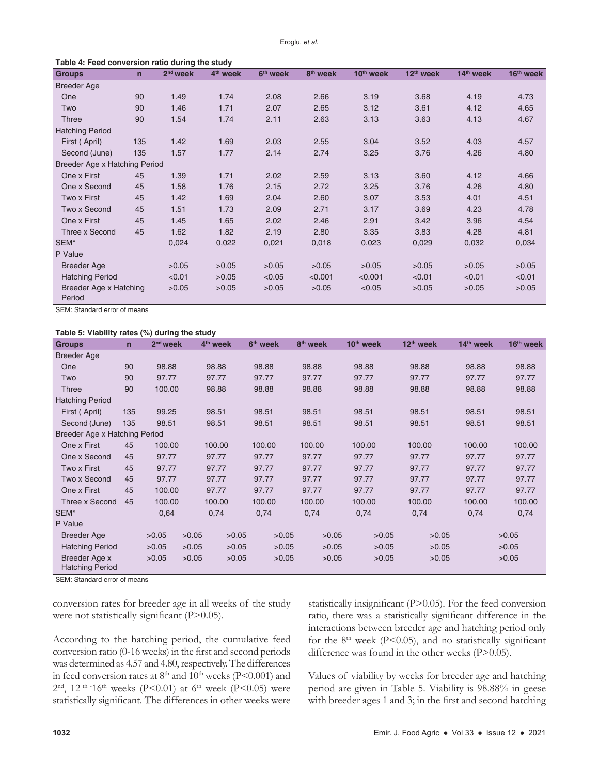**Table 4: Feed conversion ratio during the study**

| <b>Groups</b>                    | $\mathsf{n}$ | $2nd$ week | 4 <sup>th</sup> week | 6 <sup>th</sup> week | 8 <sup>th</sup> week | 10 <sup>th</sup> week | 12 <sup>th</sup> week | 14 <sup>th</sup> week | 16 <sup>th</sup> week |
|----------------------------------|--------------|------------|----------------------|----------------------|----------------------|-----------------------|-----------------------|-----------------------|-----------------------|
| <b>Breeder Age</b>               |              |            |                      |                      |                      |                       |                       |                       |                       |
| One                              | 90           | 1.49       | 1.74                 | 2.08                 | 2.66                 | 3.19                  | 3.68                  | 4.19                  | 4.73                  |
| Two                              | 90           | 1.46       | 1.71                 | 2.07                 | 2.65                 | 3.12                  | 3.61                  | 4.12                  | 4.65                  |
| <b>Three</b>                     | 90           | 1.54       | 1.74                 | 2.11                 | 2.63                 | 3.13                  | 3.63                  | 4.13                  | 4.67                  |
| <b>Hatching Period</b>           |              |            |                      |                      |                      |                       |                       |                       |                       |
| First (April)                    | 135          | 1.42       | 1.69                 | 2.03                 | 2.55                 | 3.04                  | 3.52                  | 4.03                  | 4.57                  |
| Second (June)                    | 135          | 1.57       | 1.77                 | 2.14                 | 2.74                 | 3.25                  | 3.76                  | 4.26                  | 4.80                  |
| Breeder Age x Hatching Period    |              |            |                      |                      |                      |                       |                       |                       |                       |
| One x First                      | 45           | 1.39       | 1.71                 | 2.02                 | 2.59                 | 3.13                  | 3.60                  | 4.12                  | 4.66                  |
| One x Second                     | 45           | 1.58       | 1.76                 | 2.15                 | 2.72                 | 3.25                  | 3.76                  | 4.26                  | 4.80                  |
| Two x First                      | 45           | 1.42       | 1.69                 | 2.04                 | 2.60                 | 3.07                  | 3.53                  | 4.01                  | 4.51                  |
| Two x Second                     | 45           | 1.51       | 1.73                 | 2.09                 | 2.71                 | 3.17                  | 3.69                  | 4.23                  | 4.78                  |
| One x First                      | 45           | 1.45       | 1.65                 | 2.02                 | 2.46                 | 2.91                  | 3.42                  | 3.96                  | 4.54                  |
| Three x Second                   | 45           | 1.62       | 1.82                 | 2.19                 | 2.80                 | 3.35                  | 3.83                  | 4.28                  | 4.81                  |
| SEM*                             |              | 0,024      | 0,022                | 0,021                | 0,018                | 0,023                 | 0,029                 | 0,032                 | 0,034                 |
| P Value                          |              |            |                      |                      |                      |                       |                       |                       |                       |
| Breeder Age                      |              | >0.05      | >0.05                | >0.05                | >0.05                | >0.05                 | >0.05                 | >0.05                 | >0.05                 |
| <b>Hatching Period</b>           |              | < 0.01     | >0.05                | < 0.05               | < 0.001              | < 0.001               | < 0.01                | < 0.01                | < 0.01                |
| Breeder Age x Hatching<br>Period |              | >0.05      | >0.05                | >0.05                | >0.05                | < 0.05                | >0.05                 | >0.05                 | >0.05                 |

SEM: Standard error of means

#### **Table 5: Viability rates (%) during the study**

| <b>Groups</b>                           | $\mathsf{n}$ | $2nd$ week |       | 4 <sup>th</sup> week | 6 <sup>th</sup> week | 8 <sup>th</sup> week | 10 <sup>th</sup> week | 12 <sup>th</sup> week | 14 <sup>th</sup> week | 16 <sup>th</sup> week |
|-----------------------------------------|--------------|------------|-------|----------------------|----------------------|----------------------|-----------------------|-----------------------|-----------------------|-----------------------|
| <b>Breeder Age</b>                      |              |            |       |                      |                      |                      |                       |                       |                       |                       |
| One                                     | 90           | 98.88      |       | 98.88                | 98.88                | 98.88                | 98.88                 | 98.88                 | 98.88                 | 98.88                 |
| Two                                     | 90           | 97.77      |       | 97.77                | 97.77                | 97.77                | 97.77                 | 97.77                 | 97.77                 | 97.77                 |
| Three                                   | 90           | 100.00     |       | 98.88                | 98.88                | 98.88                | 98.88                 | 98.88                 | 98.88                 | 98.88                 |
| <b>Hatching Period</b>                  |              |            |       |                      |                      |                      |                       |                       |                       |                       |
| First (April)                           | 135          | 99.25      |       | 98.51                | 98.51                | 98.51                | 98.51                 | 98.51                 | 98.51                 | 98.51                 |
| Second (June)                           | 135          | 98.51      |       | 98.51                | 98.51                | 98.51                | 98.51                 | 98.51                 | 98.51                 | 98.51                 |
| Breeder Age x Hatching Period           |              |            |       |                      |                      |                      |                       |                       |                       |                       |
| One x First                             | 45           | 100.00     |       | 100.00               | 100.00               | 100.00               | 100.00                | 100.00                | 100.00                | 100.00                |
| One x Second                            | 45           | 97.77      |       | 97.77                | 97.77                | 97.77                | 97.77                 | 97.77                 | 97.77                 | 97.77                 |
| Two x First                             | 45           | 97.77      |       | 97.77                | 97.77                | 97.77                | 97.77                 | 97.77                 | 97.77                 | 97.77                 |
| Two x Second                            | 45           | 97.77      |       | 97.77                | 97.77                | 97.77                | 97.77                 | 97.77                 | 97.77                 | 97.77                 |
| One x First                             | 45           | 100.00     |       | 97.77                | 97.77                | 97.77                | 97.77                 | 97.77                 | 97.77                 | 97.77                 |
| Three x Second                          | 45           | 100.00     |       | 100.00               | 100.00               | 100.00               | 100.00                | 100.00                | 100.00                | 100.00                |
| SEM*                                    |              | 0,64       |       | 0,74                 | 0,74                 | 0,74                 | 0,74                  | 0,74                  | 0,74                  | 0,74                  |
| P Value                                 |              |            |       |                      |                      |                      |                       |                       |                       |                       |
| <b>Breeder Age</b>                      |              | >0.05      | >0.05 | >0.05                | >0.05                | >0.05                | >0.05                 | >0.05                 |                       | >0.05                 |
| <b>Hatching Period</b>                  |              | >0.05      | >0.05 | >0.05                | >0.05                | >0.05                | >0.05                 | >0.05                 |                       | >0.05                 |
| Breeder Age x<br><b>Hatching Period</b> |              | >0.05      | >0.05 | >0.05                | >0.05                | >0.05                | >0.05                 | >0.05                 |                       | >0.05                 |

SEM: Standard error of means

conversion rates for breeder age in all weeks of the study were not statistically significant (P>0.05).

According to the hatching period, the cumulative feed conversion ratio (0-16weeks) in the first and second periods was determined as 4.57 and 4.80, respectively. The differences in feed conversion rates at  $8<sup>th</sup>$  and  $10<sup>th</sup>$  weeks (P<0.001) and  $2<sup>nd</sup>$ , 12<sup>th -</sup>16<sup>th</sup> weeks (P<0.01) at 6<sup>th</sup> week (P<0.05) were statistically significant. The differences in other weeks were

statistically insignificant (P>0.05). For the feed conversion ratio, there was a statistically significant difference in the interactions between breeder age and hatching period only for the  $8<sup>th</sup>$  week (P<0.05), and no statistically significant difference was found in the other weeks (P>0.05).

Values of viability by weeks for breeder age and hatching period are given in Table 5. Viability is 98.88% in geese with breeder ages 1 and 3; in the first and second hatching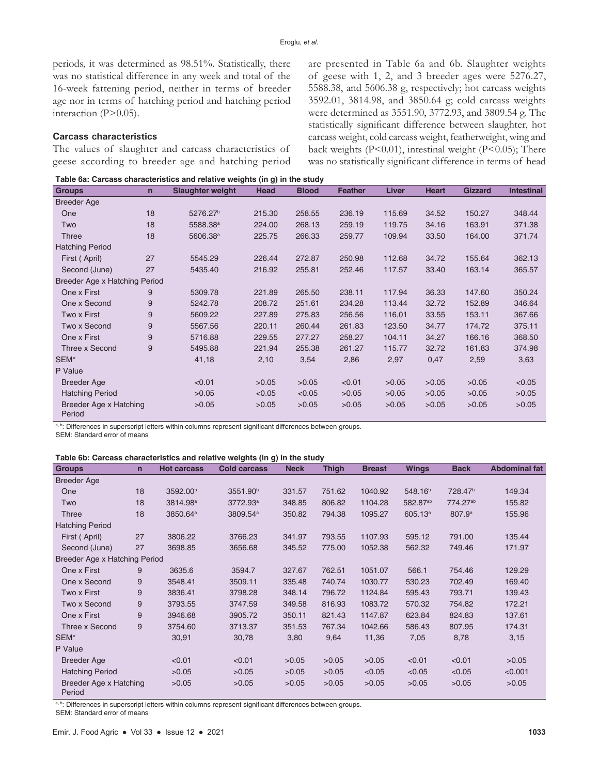periods, it was determined as 98.51%. Statistically, there was no statistical difference in any week and total of the 16-week fattening period, neither in terms of breeder age nor in terms of hatching period and hatching period interaction (P>0.05).

## **Carcass characteristics**

The values of slaughter and carcass characteristics of geese according to breeder age and hatching period are presented in Table 6a and 6b. Slaughter weights of geese with 1, 2, and 3 breeder ages were 5276.27, 5588.38, and 5606.38 g, respectively; hot carcass weights 3592.01, 3814.98, and 3850.64 g; cold carcass weights were determined as 3551.90, 3772.93, and 3809.54 g. The statistically significant difference between slaughter, hot carcass weight, cold carcass weight, featherweight, wing and back weights  $(P<0.01)$ , intestinal weight  $(P<0.05)$ ; There was no statistically significant difference in terms of head

|  | Table 6a: Carcass characteristics and relative weights (in g) in the study |  |  |  |
|--|----------------------------------------------------------------------------|--|--|--|
|--|----------------------------------------------------------------------------|--|--|--|

| <b>Groups</b>                    | $\mathbf n$ | <b>Slaughter weight</b> | Head   | <b>Blood</b> | Feather | Liver  | <b>Heart</b> | <b>Gizzard</b> | <b>Intestinal</b> |
|----------------------------------|-------------|-------------------------|--------|--------------|---------|--------|--------------|----------------|-------------------|
| <b>Breeder Age</b>               |             |                         |        |              |         |        |              |                |                   |
| One                              | 18          | 5276.27 <sup>b</sup>    | 215.30 | 258.55       | 236.19  | 115.69 | 34.52        | 150.27         | 348.44            |
| Two                              | 18          | 5588.38 <sup>a</sup>    | 224.00 | 268.13       | 259.19  | 119.75 | 34.16        | 163.91         | 371.38            |
| Three                            | 18          | 5606.38 <sup>a</sup>    | 225.75 | 266.33       | 259.77  | 109.94 | 33.50        | 164.00         | 371.74            |
| <b>Hatching Period</b>           |             |                         |        |              |         |        |              |                |                   |
| First (April)                    | 27          | 5545.29                 | 226.44 | 272.87       | 250.98  | 112.68 | 34.72        | 155.64         | 362.13            |
| Second (June)                    | 27          | 5435.40                 | 216.92 | 255.81       | 252.46  | 117.57 | 33.40        | 163.14         | 365.57            |
| Breeder Age x Hatching Period    |             |                         |        |              |         |        |              |                |                   |
| One x First                      | 9           | 5309.78                 | 221.89 | 265.50       | 238.11  | 117.94 | 36.33        | 147.60         | 350.24            |
| One x Second                     | 9           | 5242.78                 | 208.72 | 251.61       | 234.28  | 113.44 | 32.72        | 152.89         | 346.64            |
| Two x First                      | 9           | 5609.22                 | 227.89 | 275.83       | 256.56  | 116,01 | 33.55        | 153.11         | 367.66            |
| Two x Second                     | 9           | 5567.56                 | 220.11 | 260.44       | 261.83  | 123.50 | 34.77        | 174.72         | 375.11            |
| One x First                      | 9           | 5716.88                 | 229.55 | 277.27       | 258.27  | 104.11 | 34.27        | 166.16         | 368.50            |
| Three x Second                   | 9           | 5495.88                 | 221.94 | 255.38       | 261.27  | 115.77 | 32.72        | 161.83         | 374.98            |
| SEM*                             |             | 41,18                   | 2,10   | 3,54         | 2,86    | 2,97   | 0,47         | 2,59           | 3,63              |
| P Value                          |             |                         |        |              |         |        |              |                |                   |
| <b>Breeder Age</b>               |             | < 0.01                  | >0.05  | >0.05        | < 0.01  | >0.05  | >0.05        | >0.05          | < 0.05            |
| <b>Hatching Period</b>           |             | >0.05                   | < 0.05 | < 0.05       | >0.05   | >0.05  | >0.05        | >0.05          | >0.05             |
| Breeder Age x Hatching<br>Period |             | >0.05                   | >0.05  | >0.05        | >0.05   | >0.05  | >0.05        | >0.05          | >0.05             |

a, b: Differences in superscript letters within columns represent significant differences between groups.

SEM: Standard error of means

#### **Table 6b: Carcass characteristics and relative weights (in g) in the study**

| <b>Groups</b>                    | $\overline{n}$ | <b>Hot carcass</b>   | <b>Cold carcass</b>  | <b>Neck</b> | <b>Thigh</b> | <b>Breast</b> | <b>Wings</b>         | <b>Back</b>          | <b>Abdominal fat</b> |
|----------------------------------|----------------|----------------------|----------------------|-------------|--------------|---------------|----------------------|----------------------|----------------------|
| <b>Breeder Age</b>               |                |                      |                      |             |              |               |                      |                      |                      |
| One                              | 18             | 3592.00 <sup>b</sup> | 3551.90 <sup>b</sup> | 331.57      | 751.62       | 1040.92       | 548.16 <sup>b</sup>  | 728.47 <sup>b</sup>  | 149.34               |
| Two                              | 18             | 3814.98 <sup>a</sup> | 3772.93 <sup>a</sup> | 348.85      | 806.82       | 1104.28       | 582.87 <sup>ab</sup> | 774.27 <sup>ab</sup> | 155.82               |
| Three                            | 18             | 3850.64 <sup>a</sup> | 3809.54 <sup>a</sup> | 350.82      | 794.38       | 1095.27       | 605.13 <sup>a</sup>  | 807.9 <sup>a</sup>   | 155.96               |
| <b>Hatching Period</b>           |                |                      |                      |             |              |               |                      |                      |                      |
| First (April)                    | 27             | 3806.22              | 3766.23              | 341.97      | 793.55       | 1107.93       | 595.12               | 791.00               | 135.44               |
| Second (June)                    | 27             | 3698.85              | 3656.68              | 345.52      | 775.00       | 1052.38       | 562.32               | 749.46               | 171.97               |
| Breeder Age x Hatching Period    |                |                      |                      |             |              |               |                      |                      |                      |
| One x First                      | 9              | 3635.6               | 3594.7               | 327.67      | 762.51       | 1051.07       | 566.1                | 754.46               | 129.29               |
| One x Second                     | 9              | 3548.41              | 3509.11              | 335.48      | 740.74       | 1030.77       | 530.23               | 702.49               | 169.40               |
| Two x First                      | 9              | 3836.41              | 3798.28              | 348.14      | 796.72       | 1124.84       | 595.43               | 793.71               | 139.43               |
| Two x Second                     | 9              | 3793.55              | 3747.59              | 349.58      | 816.93       | 1083.72       | 570.32               | 754.82               | 172.21               |
| One x First                      | 9              | 3946.68              | 3905.72              | 350.11      | 821.43       | 1147.87       | 623.84               | 824.83               | 137.61               |
| Three x Second                   | 9              | 3754.60              | 3713.37              | 351.53      | 767.34       | 1042.66       | 586.43               | 807.95               | 174.31               |
| SEM*                             |                | 30,91                | 30,78                | 3,80        | 9,64         | 11,36         | 7,05                 | 8,78                 | 3,15                 |
| P Value                          |                |                      |                      |             |              |               |                      |                      |                      |
| <b>Breeder Age</b>               |                | < 0.01               | < 0.01               | >0.05       | >0.05        | >0.05         | < 0.01               | < 0.01               | >0.05                |
| <b>Hatching Period</b>           |                | >0.05                | >0.05                | >0.05       | >0.05        | < 0.05        | < 0.05               | < 0.05               | < 0.001              |
| Breeder Age x Hatching<br>Period |                | >0.05                | >0.05                | >0.05       | >0.05        | >0.05         | >0.05                | >0.05                | >0.05                |

a, b: Differences in superscript letters within columns represent significant differences between groups.

SEM: Standard error of means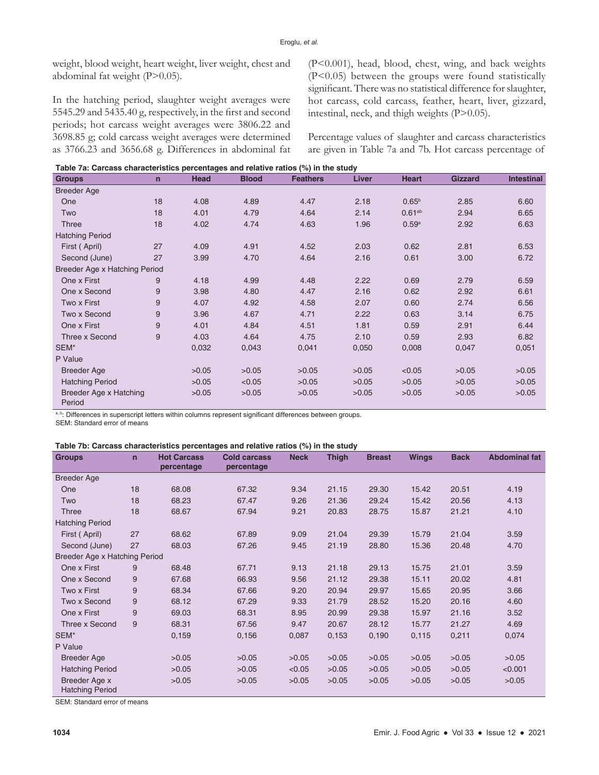weight, blood weight, heart weight, liver weight, chest and abdominal fat weight (P>0.05).

In the hatching period, slaughter weight averages were 5545.29 and 5435.40 g, respectively, in the first and second periods; hot carcass weight averages were 3806.22 and 3698.85 g; cold carcass weight averages were determined as 3766.23 and 3656.68 g. Differences in abdominal fat (P<0.001), head, blood, chest, wing, and back weights (P<0.05) between the groups were found statistically significant. There was no statistical difference for slaughter, hot carcass, cold carcass, feather, heart, liver, gizzard, intestinal, neck, and thigh weights (P>0.05).

Percentage values of slaughter and carcass characteristics are given in Table 7a and 7b. Hot carcass percentage of

| Table 7a: Carcass characteristics percentages and relative ratios (%) in the study |  |
|------------------------------------------------------------------------------------|--|
|                                                                                    |  |

|                                  | rable 7a. Carcass characteristics percentages and relative ratios (70) in the study |             |              |                 |       |                   |                |                   |  |  |  |  |  |
|----------------------------------|-------------------------------------------------------------------------------------|-------------|--------------|-----------------|-------|-------------------|----------------|-------------------|--|--|--|--|--|
| <b>Groups</b>                    | $\mathsf{n}$                                                                        | <b>Head</b> | <b>Blood</b> | <b>Feathers</b> | Liver | <b>Heart</b>      | <b>Gizzard</b> | <b>Intestinal</b> |  |  |  |  |  |
| <b>Breeder Age</b>               |                                                                                     |             |              |                 |       |                   |                |                   |  |  |  |  |  |
| One                              | 18                                                                                  | 4.08        | 4.89         | 4.47            | 2.18  | 0.65 <sup>b</sup> | 2.85           | 6.60              |  |  |  |  |  |
| Two                              | 18                                                                                  | 4.01        | 4.79         | 4.64            | 2.14  | $0.61^{ab}$       | 2.94           | 6.65              |  |  |  |  |  |
| Three                            | 18                                                                                  | 4.02        | 4.74         | 4.63            | 1.96  | 0.59a             | 2.92           | 6.63              |  |  |  |  |  |
| <b>Hatching Period</b>           |                                                                                     |             |              |                 |       |                   |                |                   |  |  |  |  |  |
| First (April)                    | 27                                                                                  | 4.09        | 4.91         | 4.52            | 2.03  | 0.62              | 2.81           | 6.53              |  |  |  |  |  |
| Second (June)                    | 27                                                                                  | 3.99        | 4.70         | 4.64            | 2.16  | 0.61              | 3.00           | 6.72              |  |  |  |  |  |
| Breeder Age x Hatching Period    |                                                                                     |             |              |                 |       |                   |                |                   |  |  |  |  |  |
| One x First                      | 9                                                                                   | 4.18        | 4.99         | 4.48            | 2.22  | 0.69              | 2.79           | 6.59              |  |  |  |  |  |
| One x Second                     | 9                                                                                   | 3.98        | 4.80         | 4.47            | 2.16  | 0.62              | 2.92           | 6.61              |  |  |  |  |  |
| Two x First                      | 9                                                                                   | 4.07        | 4.92         | 4.58            | 2.07  | 0.60              | 2.74           | 6.56              |  |  |  |  |  |
| Two x Second                     | 9                                                                                   | 3.96        | 4.67         | 4.71            | 2.22  | 0.63              | 3.14           | 6.75              |  |  |  |  |  |
| One x First                      | 9                                                                                   | 4.01        | 4.84         | 4.51            | 1.81  | 0.59              | 2.91           | 6.44              |  |  |  |  |  |
| Three x Second                   | 9                                                                                   | 4.03        | 4.64         | 4.75            | 2.10  | 0.59              | 2.93           | 6.82              |  |  |  |  |  |
| SEM*                             |                                                                                     | 0,032       | 0,043        | 0,041           | 0,050 | 0,008             | 0,047          | 0,051             |  |  |  |  |  |
| P Value                          |                                                                                     |             |              |                 |       |                   |                |                   |  |  |  |  |  |
| <b>Breeder Age</b>               |                                                                                     | >0.05       | >0.05        | >0.05           | >0.05 | < 0.05            | >0.05          | >0.05             |  |  |  |  |  |
| <b>Hatching Period</b>           |                                                                                     | >0.05       | < 0.05       | >0.05           | >0.05 | >0.05             | >0.05          | >0.05             |  |  |  |  |  |
| Breeder Age x Hatching<br>Period |                                                                                     | >0.05       | >0.05        | >0.05           | >0.05 | >0.05             | >0.05          | >0.05             |  |  |  |  |  |

a, b: Differences in superscript letters within columns represent significant differences between groups.

SEM: Standard error of means

#### **Table 7b: Carcass characteristics percentages and relative ratios (%) in the study**

| <b>Groups</b>                           | $\mathbf n$ | <b>Hot Carcass</b> | <b>Cold carcass</b> | <b>Neck</b> | <b>Thigh</b> | <b>Breast</b> | <b>Wings</b> | <b>Back</b> | <b>Abdominal fat</b> |
|-----------------------------------------|-------------|--------------------|---------------------|-------------|--------------|---------------|--------------|-------------|----------------------|
|                                         |             | percentage         | percentage          |             |              |               |              |             |                      |
| Breeder Age                             |             |                    |                     |             |              |               |              |             |                      |
| One                                     | 18          | 68.08              | 67.32               | 9.34        | 21.15        | 29.30         | 15.42        | 20.51       | 4.19                 |
| Two                                     | 18          | 68.23              | 67.47               | 9.26        | 21.36        | 29.24         | 15.42        | 20.56       | 4.13                 |
| <b>Three</b>                            | 18          | 68.67              | 67.94               | 9.21        | 20.83        | 28.75         | 15.87        | 21.21       | 4.10                 |
| <b>Hatching Period</b>                  |             |                    |                     |             |              |               |              |             |                      |
| First (April)                           | 27          | 68.62              | 67.89               | 9.09        | 21.04        | 29.39         | 15.79        | 21.04       | 3.59                 |
| Second (June)                           | 27          | 68.03              | 67.26               | 9.45        | 21.19        | 28.80         | 15.36        | 20.48       | 4.70                 |
| Breeder Age x Hatching Period           |             |                    |                     |             |              |               |              |             |                      |
| One x First                             | 9           | 68.48              | 67.71               | 9.13        | 21.18        | 29.13         | 15.75        | 21.01       | 3.59                 |
| One x Second                            | 9           | 67.68              | 66.93               | 9.56        | 21.12        | 29.38         | 15.11        | 20.02       | 4.81                 |
| Two x First                             | 9           | 68.34              | 67.66               | 9.20        | 20.94        | 29.97         | 15.65        | 20.95       | 3.66                 |
| Two x Second                            | 9           | 68.12              | 67.29               | 9.33        | 21.79        | 28.52         | 15.20        | 20.16       | 4.60                 |
| One x First                             | 9           | 69.03              | 68.31               | 8.95        | 20.99        | 29.38         | 15.97        | 21.16       | 3.52                 |
| Three x Second                          | 9           | 68.31              | 67.56               | 9.47        | 20.67        | 28.12         | 15.77        | 21.27       | 4.69                 |
| SEM*                                    |             | 0,159              | 0,156               | 0,087       | 0,153        | 0,190         | 0,115        | 0,211       | 0,074                |
| P Value                                 |             |                    |                     |             |              |               |              |             |                      |
| <b>Breeder Age</b>                      |             | >0.05              | >0.05               | >0.05       | >0.05        | >0.05         | >0.05        | >0.05       | >0.05                |
| <b>Hatching Period</b>                  |             | >0.05              | >0.05               | < 0.05      | >0.05        | >0.05         | >0.05        | >0.05       | < 0.001              |
| Breeder Age x<br><b>Hatching Period</b> |             | >0.05              | >0.05               | >0.05       | >0.05        | >0.05         | >0.05        | >0.05       | >0.05                |

SEM: Standard error of means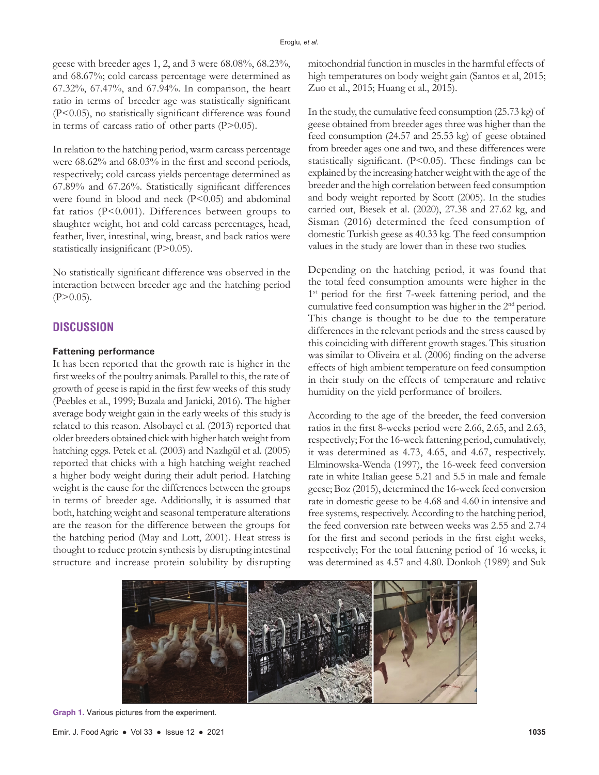geese with breeder ages 1, 2, and 3 were 68.08%, 68.23%, and 68.67%; cold carcass percentage were determined as 67.32%, 67.47%, and 67.94%. In comparison, the heart ratio in terms of breeder age was statistically significant (P<0.05), no statistically significant difference was found in terms of carcass ratio of other parts (P>0.05).

In relation to the hatching period, warm carcass percentage were 68.62% and 68.03% in the first and second periods, respectively; cold carcass yields percentage determined as 67.89% and 67.26%. Statistically significant differences were found in blood and neck (P<0.05) and abdominal fat ratios (P<0.001). Differences between groups to slaughter weight, hot and cold carcass percentages, head, feather, liver, intestinal, wing, breast, and back ratios were statistically insignificant (P>0.05).

No statistically significant difference was observed in the interaction between breeder age and the hatching period  $(P>0.05)$ .

## **DISCUSSION**

#### **Fattening performance**

It has been reported that the growth rate is higher in the first weeks of the poultry animals. Parallel to this, the rate of growth of geese is rapid in the first few weeks of this study (Peebles et al., 1999; Buzala and Janicki, 2016). The higher average body weight gain in the early weeks of this study is related to this reason. Alsobayel et al. (2013) reported that older breeders obtained chick with higher hatch weight from hatching eggs. Petek et al. (2003) and Nazlıgül et al. (2005) reported that chicks with a high hatching weight reached a higher body weight during their adult period. Hatching weight is the cause for the differences between the groups in terms of breeder age. Additionally, it is assumed that both, hatching weight and seasonal temperature alterations are the reason for the difference between the groups for the hatching period (May and Lott, 2001). Heat stress is thought to reduce protein synthesis by disrupting intestinal structure and increase protein solubility by disrupting mitochondrial function in muscles in the harmful effects of high temperatures on body weight gain (Santos et al, 2015; Zuo et al., 2015; Huang et al., 2015).

In the study, the cumulative feed consumption (25.73 kg) of geese obtained from breeder ages three was higher than the feed consumption (24.57 and 25.53 kg) of geese obtained from breeder ages one and two, and these differences were statistically significant. (P<0.05). These findings can be explained by the increasing hatcher weight with the age of the breeder and the high correlation between feed consumption and body weight reported by Scott (2005). In the studies carried out, Biesek et al. (2020), 27.38 and 27.62 kg, and Sisman (2016) determined the feed consumption of domestic Turkish geese as 40.33 kg. The feed consumption values in the study are lower than in these two studies.

Depending on the hatching period, it was found that the total feed consumption amounts were higher in the 1<sup>st</sup> period for the first 7-week fattening period, and the cumulative feed consumption was higher in the 2nd period. This change is thought to be due to the temperature differences in the relevant periods and the stress caused by this coinciding with different growth stages. This situation was similar to Oliveira et al. (2006) finding on the adverse effects of high ambient temperature on feed consumption in their study on the effects of temperature and relative humidity on the yield performance of broilers.

According to the age of the breeder, the feed conversion ratios in the first 8-weeks period were 2.66, 2.65, and 2.63, respectively; For the 16-week fattening period, cumulatively, it was determined as 4.73, 4.65, and 4.67, respectively. Elminowska-Wenda (1997), the 16-week feed conversion rate in white Italian geese 5.21 and 5.5 in male and female geese; Boz (2015), determined the 16-week feed conversion rate in domestic geese to be 4.68 and 4.60 in intensive and free systems, respectively. According to the hatching period, the feed conversion rate between weeks was 2.55 and 2.74 for the first and second periods in the first eight weeks, respectively; For the total fattening period of 16 weeks, it was determined as 4.57 and 4.80. Donkoh (1989) and Suk



**Graph 1.** Various pictures from the experiment.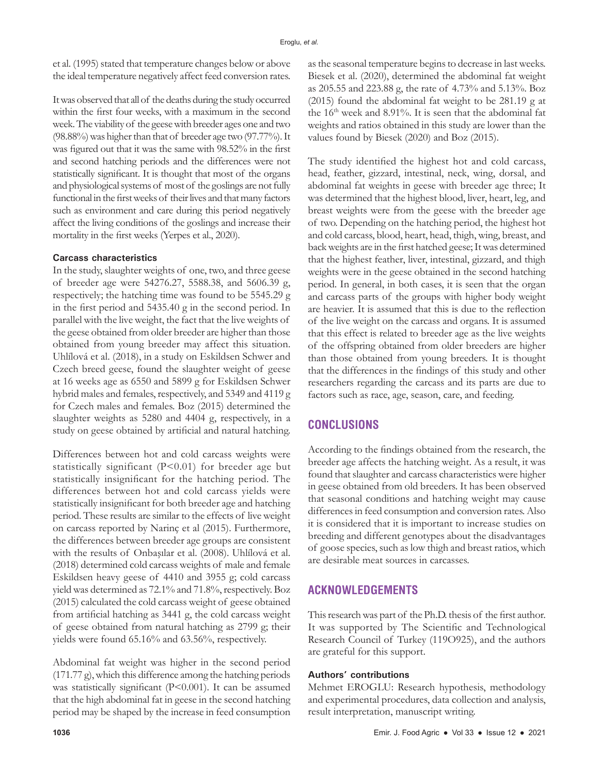et al. (1995) stated that temperature changes below or above the ideal temperature negatively affect feed conversion rates.

It was observed that all of the deaths during the study occurred within the first four weeks, with a maximum in the second week. The viability of the geese with breeder ages one and two (98.88%) was higher than that of breeder age two (97.77%). It was figured out that it was the same with 98.52% in the first and second hatching periods and the differences were not statistically significant. It is thought that most of the organs and physiological systems of most of the goslings are not fully functional in the first weeks of their lives and that many factors such as environment and care during this period negatively affect the living conditions of the goslings and increase their mortality in the first weeks (Yerpes et al., 2020).

## **Carcass characteristics**

In the study, slaughter weights of one, two, and three geese of breeder age were 54276.27, 5588.38, and 5606.39 g, respectively; the hatching time was found to be 5545.29 g in the first period and 5435.40 g in the second period. In parallel with the live weight, the fact that the live weights of the geese obtained from older breeder are higher than those obtained from young breeder may affect this situation. Uhlílová et al. (2018), in a study on Eskildsen Schwer and Czech breed geese, found the slaughter weight of geese at 16 weeks age as 6550 and 5899 g for Eskildsen Schwer hybrid males and females, respectively, and 5349 and 4119 g for Czech males and females. Boz (2015) determined the slaughter weights as 5280 and 4404 g, respectively, in a study on geese obtained by artificial and natural hatching.

Differences between hot and cold carcass weights were statistically significant (P<0.01) for breeder age but statistically insignificant for the hatching period. The differences between hot and cold carcass yields were statistically insignificant for both breeder age and hatching period. These results are similar to the effects of live weight on carcass reported by Narinç et al (2015). Furthermore, the differences between breeder age groups are consistent with the results of Onbaşılar et al. (2008). Uhlílová et al. (2018) determined cold carcass weights of male and female Eskildsen heavy geese of 4410 and 3955 g; cold carcass yield was determined as 72.1% and 71.8%, respectively. Boz (2015) calculated the cold carcass weight of geese obtained from artificial hatching as 3441 g, the cold carcass weight of geese obtained from natural hatching as 2799 g; their yields were found 65.16% and 63.56%, respectively.

Abdominal fat weight was higher in the second period (171.77 g), which this difference among the hatching periods was statistically significant (P<0.001). It can be assumed that the high abdominal fat in geese in the second hatching period may be shaped by the increase in feed consumption

as the seasonal temperature begins to decrease in last weeks. Biesek et al. (2020), determined the abdominal fat weight as 205.55 and 223.88 g, the rate of 4.73% and 5.13%. Boz (2015) found the abdominal fat weight to be 281.19 g at the 16<sup>th</sup> week and 8.91%. It is seen that the abdominal fat weights and ratios obtained in this study are lower than the values found by Biesek (2020) and Boz (2015).

The study identified the highest hot and cold carcass, head, feather, gizzard, intestinal, neck, wing, dorsal, and abdominal fat weights in geese with breeder age three; It was determined that the highest blood, liver, heart, leg, and breast weights were from the geese with the breeder age of two. Depending on the hatching period, the highest hot and cold carcass, blood, heart, head, thigh, wing, breast, and back weights are in the first hatched geese; It was determined that the highest feather, liver, intestinal, gizzard, and thigh weights were in the geese obtained in the second hatching period. In general, in both cases, it is seen that the organ and carcass parts of the groups with higher body weight are heavier. It is assumed that this is due to the reflection of the live weight on the carcass and organs. It is assumed that this effect is related to breeder age as the live weights of the offspring obtained from older breeders are higher than those obtained from young breeders. It is thought that the differences in the findings of this study and other researchers regarding the carcass and its parts are due to factors such as race, age, season, care, and feeding.

# **CONCLUSIONS**

According to the findings obtained from the research, the breeder age affects the hatching weight. As a result, it was found that slaughter and carcass characteristics were higher in geese obtained from old breeders. It has been observed that seasonal conditions and hatching weight may cause differences in feed consumption and conversion rates. Also it is considered that it is important to increase studies on breeding and different genotypes about the disadvantages of goose species, such as low thigh and breast ratios, which are desirable meat sources in carcasses.

# **ACKNOWLEDGEMENTS**

This research was part of the Ph.D. thesis of the first author. It was supported by The Scientific and Technological Research Council of Turkey (119O925), and the authors are grateful for this support.

## **Authors' contributions**

Mehmet EROGLU: Research hypothesis, methodology and experimental procedures, data collection and analysis, result interpretation, manuscript writing.